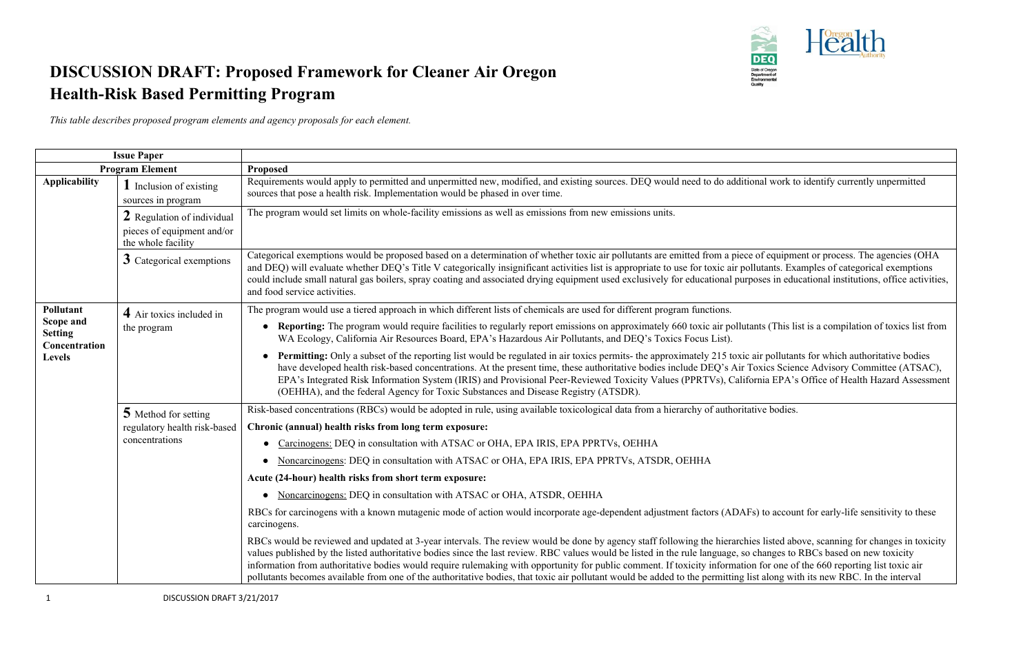

## **DISCUSSION DRAFT: Proposed Framework for Cleaner Air Oregon Health-Risk Based Permitting Program**

*This table describes proposed program elements and agency proposals for each element.*

| <b>Issue Paper</b>                           |                                                                                |                                                                                                                                                                                                                                                                                                                                                                                                                                                                                                                                                                                                                                                                                                          |
|----------------------------------------------|--------------------------------------------------------------------------------|----------------------------------------------------------------------------------------------------------------------------------------------------------------------------------------------------------------------------------------------------------------------------------------------------------------------------------------------------------------------------------------------------------------------------------------------------------------------------------------------------------------------------------------------------------------------------------------------------------------------------------------------------------------------------------------------------------|
| <b>Program Element</b>                       |                                                                                | Proposed                                                                                                                                                                                                                                                                                                                                                                                                                                                                                                                                                                                                                                                                                                 |
| <b>Applicability</b>                         | <b>1</b> Inclusion of existing<br>sources in program                           | Requirements would apply to permitted and unpermitted new, modified, and existing sources. DEQ would need to do additional work to identify currently unpermitted<br>sources that pose a health risk. Implementation would be phased in over time.                                                                                                                                                                                                                                                                                                                                                                                                                                                       |
|                                              | 2 Regulation of individual<br>pieces of equipment and/or<br>the whole facility | The program would set limits on whole-facility emissions as well as emissions from new emissions units.                                                                                                                                                                                                                                                                                                                                                                                                                                                                                                                                                                                                  |
|                                              | 3 Categorical exemptions                                                       | Categorical exemptions would be proposed based on a determination of whether toxic air pollutants are emitted from a piece of equipment or process. The agencies (OHA<br>and DEQ) will evaluate whether DEQ's Title V categorically insignificant activities list is appropriate to use for toxic air pollutants. Examples of categorical exemptions<br>could include small natural gas boilers, spray coating and associated drying equipment used exclusively for educational purposes in educational institutions, office activitie<br>and food service activities.                                                                                                                                   |
| Pollutant                                    | 4 Air toxics included in                                                       | The program would use a tiered approach in which different lists of chemicals are used for different program functions.                                                                                                                                                                                                                                                                                                                                                                                                                                                                                                                                                                                  |
| Scope and<br><b>Setting</b><br>Concentration | the program                                                                    | • Reporting: The program would require facilities to regularly report emissions on approximately 660 toxic air pollutants (This list is a compilation of toxics list from<br>WA Ecology, California Air Resources Board, EPA's Hazardous Air Pollutants, and DEQ's Toxics Focus List).                                                                                                                                                                                                                                                                                                                                                                                                                   |
| Levels                                       |                                                                                | <b>Permitting:</b> Only a subset of the reporting list would be regulated in air toxics permits- the approximately 215 toxic air pollutants for which authoritative bodies<br>have developed health risk-based concentrations. At the present time, these authoritative bodies include DEQ's Air Toxics Science Advisory Committee (ATSAC),<br>EPA's Integrated Risk Information System (IRIS) and Provisional Peer-Reviewed Toxicity Values (PPRTVs), California EPA's Office of Health Hazard Assessme<br>(OEHHA), and the federal Agency for Toxic Substances and Disease Registry (ATSDR).                                                                                                           |
|                                              | 5 Method for setting                                                           | Risk-based concentrations (RBCs) would be adopted in rule, using available toxicological data from a hierarchy of authoritative bodies.                                                                                                                                                                                                                                                                                                                                                                                                                                                                                                                                                                  |
|                                              | regulatory health risk-based                                                   | Chronic (annual) health risks from long term exposure:                                                                                                                                                                                                                                                                                                                                                                                                                                                                                                                                                                                                                                                   |
|                                              | concentrations                                                                 | Carcinogens: DEQ in consultation with ATSAC or OHA, EPA IRIS, EPA PPRTVs, OEHHA<br>$\bullet$                                                                                                                                                                                                                                                                                                                                                                                                                                                                                                                                                                                                             |
|                                              |                                                                                | Noncarcinogens: DEQ in consultation with ATSAC or OHA, EPA IRIS, EPA PPRTVs, ATSDR, OEHHA                                                                                                                                                                                                                                                                                                                                                                                                                                                                                                                                                                                                                |
|                                              |                                                                                | Acute (24-hour) health risks from short term exposure:                                                                                                                                                                                                                                                                                                                                                                                                                                                                                                                                                                                                                                                   |
|                                              |                                                                                | Noncarcinogens: DEQ in consultation with ATSAC or OHA, ATSDR, OEHHA                                                                                                                                                                                                                                                                                                                                                                                                                                                                                                                                                                                                                                      |
|                                              |                                                                                | RBCs for carcinogens with a known mutagenic mode of action would incorporate age-dependent adjustment factors (ADAFs) to account for early-life sensitivity to these<br>carcinogens.                                                                                                                                                                                                                                                                                                                                                                                                                                                                                                                     |
|                                              |                                                                                | RBCs would be reviewed and updated at 3-year intervals. The review would be done by agency staff following the hierarchies listed above, scanning for changes in toxicit<br>values published by the listed authoritative bodies since the last review. RBC values would be listed in the rule language, so changes to RBCs based on new toxicity<br>information from authoritative bodies would require rulemaking with opportunity for public comment. If toxicity information for one of the 660 reporting list toxic air<br>pollutants becomes available from one of the authoritative bodies, that toxic air pollutant would be added to the permitting list along with its new RBC. In the interval |



r pollutants for which authoritative bodies kics Science Advisory Committee (ATSAC), ia EPA's Office of Health Hazard Assessment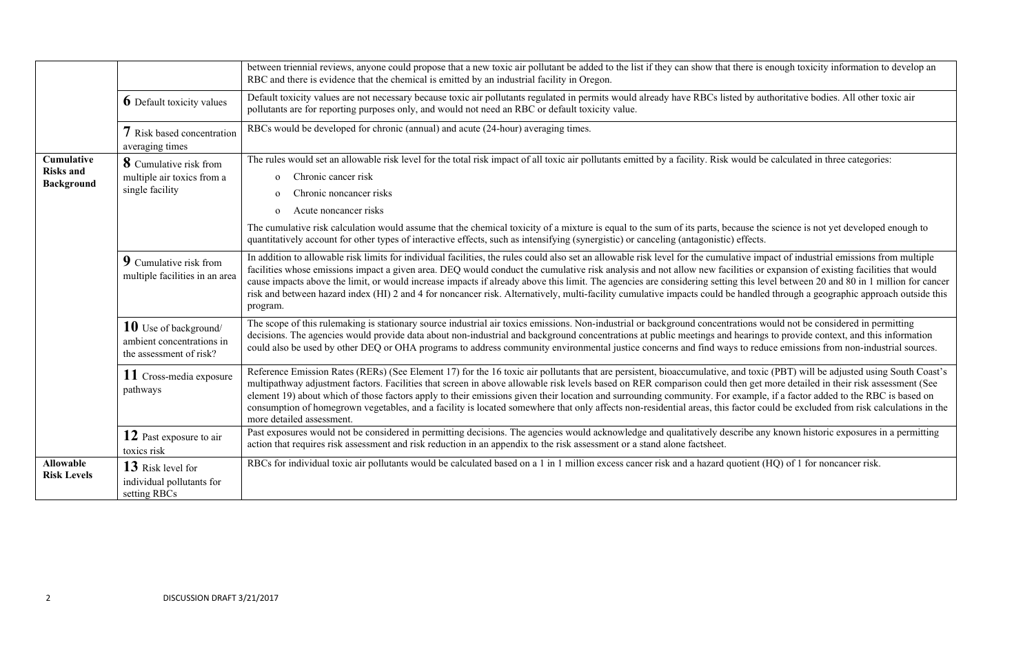|                                                     |                                                                               | between triennial reviews, anyone could propose that a new toxic air pollutant be added to the list if they can show that there is enough toxicity information to develocity<br>RBC and there is evidence that the chemical is emitted by an industrial facility in Oregon.                                                                                                                                                                                                                                                                                                                                                                                                                                              |
|-----------------------------------------------------|-------------------------------------------------------------------------------|--------------------------------------------------------------------------------------------------------------------------------------------------------------------------------------------------------------------------------------------------------------------------------------------------------------------------------------------------------------------------------------------------------------------------------------------------------------------------------------------------------------------------------------------------------------------------------------------------------------------------------------------------------------------------------------------------------------------------|
|                                                     | <b>6</b> Default toxicity values                                              | Default toxicity values are not necessary because toxic air pollutants regulated in permits would already have RBCs listed by authoritative bodies. All other toxic air<br>pollutants are for reporting purposes only, and would not need an RBC or default toxicity value.                                                                                                                                                                                                                                                                                                                                                                                                                                              |
|                                                     | 7 Risk based concentration<br>averaging times                                 | RBCs would be developed for chronic (annual) and acute (24-hour) averaging times.                                                                                                                                                                                                                                                                                                                                                                                                                                                                                                                                                                                                                                        |
| Cumulative<br><b>Risks and</b><br><b>Background</b> | 8 Cumulative risk from<br>multiple air toxics from a<br>single facility       | The rules would set an allowable risk level for the total risk impact of all toxic air pollutants emitted by a facility. Risk would be calculated in three categories:<br>Chronic cancer risk<br>$\Omega$<br>Chronic noncancer risks<br>$\Omega$<br>Acute noncancer risks<br>$\Omega$<br>The cumulative risk calculation would assume that the chemical toxicity of a mixture is equal to the sum of its parts, because the science is not yet developed enough<br>quantitatively account for other types of interactive effects, such as intensifying (synergistic) or canceling (antagonistic) effects.                                                                                                                |
|                                                     | 9 Cumulative risk from<br>multiple facilities in an area                      | In addition to allowable risk limits for individual facilities, the rules could also set an allowable risk level for the cumulative impact of industrial emissions from mul<br>facilities whose emissions impact a given area. DEQ would conduct the cumulative risk analysis and not allow new facilities or expansion of existing facilities that v<br>cause impacts above the limit, or would increase impacts if already above this limit. The agencies are considering setting this level between 20 and 80 in 1 million for<br>risk and between hazard index (HI) 2 and 4 for noncancer risk. Alternatively, multi-facility cumulative impacts could be handled through a geographic approach outs<br>program.     |
|                                                     | 10 Use of background/<br>ambient concentrations in<br>the assessment of risk? | The scope of this rulemaking is stationary source industrial air toxics emissions. Non-industrial or background concentrations would not be considered in permitting<br>decisions. The agencies would provide data about non-industrial and background concentrations at public meetings and hearings to provide context, and this informa<br>could also be used by other DEQ or OHA programs to address community environmental justice concerns and find ways to reduce emissions from non-industrial sor                                                                                                                                                                                                              |
|                                                     | 11 Cross-media exposure<br>pathways                                           | Reference Emission Rates (RERs) (See Element 17) for the 16 toxic air pollutants that are persistent, bioaccumulative, and toxic (PBT) will be adjusted using South<br>multipathway adjustment factors. Facilities that screen in above allowable risk levels based on RER comparison could then get more detailed in their risk assessment<br>element 19) about which of those factors apply to their emissions given their location and surrounding community. For example, if a factor added to the RBC is base<br>consumption of homegrown vegetables, and a facility is located somewhere that only affects non-residential areas, this factor could be excluded from risk calculation<br>more detailed assessment. |
|                                                     | 12 Past exposure to air<br>toxics risk                                        | Past exposures would not be considered in permitting decisions. The agencies would acknowledge and qualitatively describe any known historic exposures in a perm<br>action that requires risk assessment and risk reduction in an appendix to the risk assessment or a stand alone factsheet.                                                                                                                                                                                                                                                                                                                                                                                                                            |
| <b>Allowable</b><br><b>Risk Levels</b>              | 13 Risk level for<br>individual pollutants for<br>setting RBCs                | RBCs for individual toxic air pollutants would be calculated based on a 1 in 1 million excess cancer risk and a hazard quotient (HQ) of 1 for noncancer risk.                                                                                                                                                                                                                                                                                                                                                                                                                                                                                                                                                            |

s enough toxicity information to develop an

the science is not yet developed enough to

mpact of industrial emissions from multiple or expansion of existing facilities that would level between 20 and  $\overline{80}$  in 1 million for cancer led through a geographic approach outside this

would not be considered in permitting gs to provide context, and this information duce emissions from non-industrial sources.

Reference Emission Rates (RERS) will be adjusted using South Coast's that all pollutants that are persistent and to t more detailed in their risk assessment (See le, if a factor added to the RBC is based on could be excluded from risk calculations in the

any known historic exposures in a permitting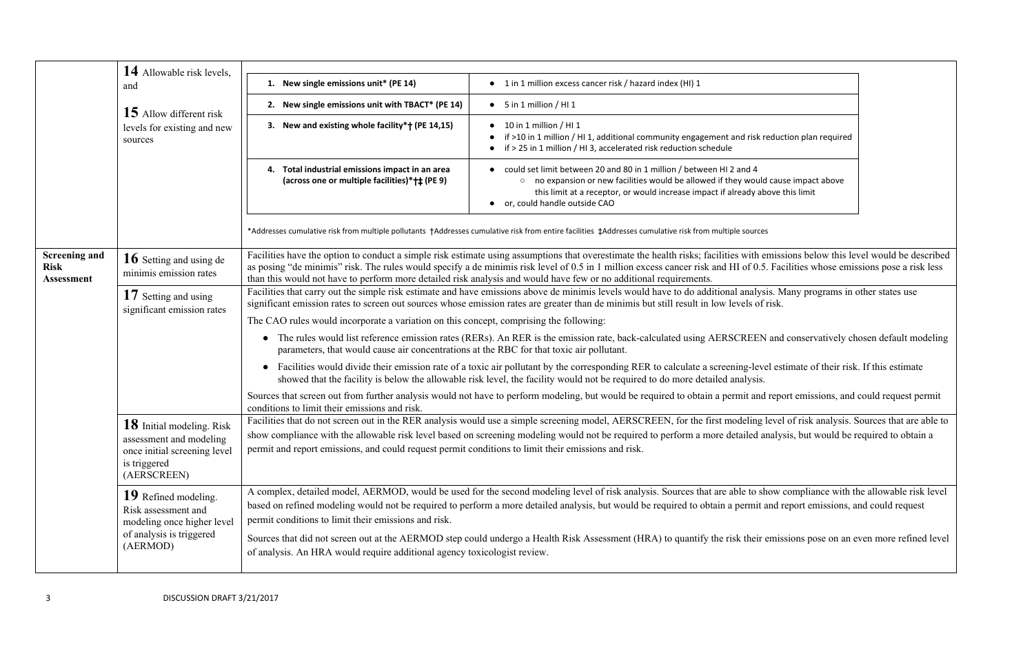| 14 Allowable risk levels,<br>1. New single emissions unit* (PE 14)<br>and<br>2. New single emissions unit with TBACT* (PE 14)<br>$\bullet$ 5 in 1 million / HI 1<br>15 Allow different risk<br>3. New and existing whole facility*† (PE 14,15)<br>10 in 1 million / HI 1<br>levels for existing and new<br>sources<br>Total industrial emissions impact in an area<br>(across one or multiple facilities)* † ‡ (PE 9)<br>or, could handle outside CAO<br>*Addresses cumulative risk from multiple pollutants †Addresses cumulative risk from entire facilities ‡Addresses cumulative risk from multiple sources<br>Facilities have the option to conduct a simple risk estimate using assumptions that overestimate the health risks; facilities with emiss<br><b>Screening and</b><br>16 Setting and using de<br>as posing "de minimis" risk. The rules would specify a de minimis risk level of 0.5 in 1 million excess cancer risk and HI of 0.5. Fac<br><b>Risk</b><br>minimis emission rates<br>than this would not have to perform more detailed risk analysis and would have few or no additional requirements.<br><b>Assessment</b><br>Facilities that carry out the simple risk estimate and have emissions above de minimis levels would have to do additional analysis. M<br>17 Setting and using<br>significant emission rates to screen out sources whose emission rates are greater than de minimis but still result in low levels of risk.<br>significant emission rates<br>The CAO rules would incorporate a variation on this concept, comprising the following:<br>The rules would list reference emission rates (RERs). An RER is the emission rate, back-calculated using AERSCREEN and<br>$\bullet$<br>parameters, that would cause air concentrations at the RBC for that toxic air pollutant.<br>Facilities would divide their emission rate of a toxic air pollutant by the corresponding RER to calculate a screening-level est<br>showed that the facility is below the allowable risk level, the facility would not be required to do more detailed analysis.<br>Sources that screen out from further analysis would not have to perform modeling, but would be required to obtain a permit and repo<br>conditions to limit their emissions and risk.<br>Facilities that do not screen out in the RER analysis would use a simple screening model, AERSCREEN, for the first modeling level<br>18 Initial modeling. Risk<br>show compliance with the allowable risk level based on screening modeling would not be required to perform a more detailed analys<br>assessment and modeling<br>permit and report emissions, and could request permit conditions to limit their emissions and risk.<br>once initial screening level<br>is triggered |                                                                                                                                                                                                                     |  |  |
|---------------------------------------------------------------------------------------------------------------------------------------------------------------------------------------------------------------------------------------------------------------------------------------------------------------------------------------------------------------------------------------------------------------------------------------------------------------------------------------------------------------------------------------------------------------------------------------------------------------------------------------------------------------------------------------------------------------------------------------------------------------------------------------------------------------------------------------------------------------------------------------------------------------------------------------------------------------------------------------------------------------------------------------------------------------------------------------------------------------------------------------------------------------------------------------------------------------------------------------------------------------------------------------------------------------------------------------------------------------------------------------------------------------------------------------------------------------------------------------------------------------------------------------------------------------------------------------------------------------------------------------------------------------------------------------------------------------------------------------------------------------------------------------------------------------------------------------------------------------------------------------------------------------------------------------------------------------------------------------------------------------------------------------------------------------------------------------------------------------------------------------------------------------------------------------------------------------------------------------------------------------------------------------------------------------------------------------------------------------------------------------------------------------------------------------------------------------------------------------------------------------------------------------------------------------------------------------------------------------------------------------------------------------------------------------------------------------------------------------------------------------------------|---------------------------------------------------------------------------------------------------------------------------------------------------------------------------------------------------------------------|--|--|
|                                                                                                                                                                                                                                                                                                                                                                                                                                                                                                                                                                                                                                                                                                                                                                                                                                                                                                                                                                                                                                                                                                                                                                                                                                                                                                                                                                                                                                                                                                                                                                                                                                                                                                                                                                                                                                                                                                                                                                                                                                                                                                                                                                                                                                                                                                                                                                                                                                                                                                                                                                                                                                                                                                                                                                           |                                                                                                                                                                                                                     |  |  |
|                                                                                                                                                                                                                                                                                                                                                                                                                                                                                                                                                                                                                                                                                                                                                                                                                                                                                                                                                                                                                                                                                                                                                                                                                                                                                                                                                                                                                                                                                                                                                                                                                                                                                                                                                                                                                                                                                                                                                                                                                                                                                                                                                                                                                                                                                                                                                                                                                                                                                                                                                                                                                                                                                                                                                                           | • 1 in 1 million excess cancer risk / hazard index (HI) 1                                                                                                                                                           |  |  |
|                                                                                                                                                                                                                                                                                                                                                                                                                                                                                                                                                                                                                                                                                                                                                                                                                                                                                                                                                                                                                                                                                                                                                                                                                                                                                                                                                                                                                                                                                                                                                                                                                                                                                                                                                                                                                                                                                                                                                                                                                                                                                                                                                                                                                                                                                                                                                                                                                                                                                                                                                                                                                                                                                                                                                                           |                                                                                                                                                                                                                     |  |  |
|                                                                                                                                                                                                                                                                                                                                                                                                                                                                                                                                                                                                                                                                                                                                                                                                                                                                                                                                                                                                                                                                                                                                                                                                                                                                                                                                                                                                                                                                                                                                                                                                                                                                                                                                                                                                                                                                                                                                                                                                                                                                                                                                                                                                                                                                                                                                                                                                                                                                                                                                                                                                                                                                                                                                                                           | if >10 in 1 million / HI 1, additional community engagement and risk reduc<br>if > 25 in 1 million / HI 3, accelerated risk reduction schedule                                                                      |  |  |
|                                                                                                                                                                                                                                                                                                                                                                                                                                                                                                                                                                                                                                                                                                                                                                                                                                                                                                                                                                                                                                                                                                                                                                                                                                                                                                                                                                                                                                                                                                                                                                                                                                                                                                                                                                                                                                                                                                                                                                                                                                                                                                                                                                                                                                                                                                                                                                                                                                                                                                                                                                                                                                                                                                                                                                           | could set limit between 20 and 80 in 1 million / between HI 2 and 4<br>o no expansion or new facilities would be allowed if they would cause<br>this limit at a receptor, or would increase impact if already above |  |  |
|                                                                                                                                                                                                                                                                                                                                                                                                                                                                                                                                                                                                                                                                                                                                                                                                                                                                                                                                                                                                                                                                                                                                                                                                                                                                                                                                                                                                                                                                                                                                                                                                                                                                                                                                                                                                                                                                                                                                                                                                                                                                                                                                                                                                                                                                                                                                                                                                                                                                                                                                                                                                                                                                                                                                                                           |                                                                                                                                                                                                                     |  |  |
|                                                                                                                                                                                                                                                                                                                                                                                                                                                                                                                                                                                                                                                                                                                                                                                                                                                                                                                                                                                                                                                                                                                                                                                                                                                                                                                                                                                                                                                                                                                                                                                                                                                                                                                                                                                                                                                                                                                                                                                                                                                                                                                                                                                                                                                                                                                                                                                                                                                                                                                                                                                                                                                                                                                                                                           |                                                                                                                                                                                                                     |  |  |
|                                                                                                                                                                                                                                                                                                                                                                                                                                                                                                                                                                                                                                                                                                                                                                                                                                                                                                                                                                                                                                                                                                                                                                                                                                                                                                                                                                                                                                                                                                                                                                                                                                                                                                                                                                                                                                                                                                                                                                                                                                                                                                                                                                                                                                                                                                                                                                                                                                                                                                                                                                                                                                                                                                                                                                           |                                                                                                                                                                                                                     |  |  |
|                                                                                                                                                                                                                                                                                                                                                                                                                                                                                                                                                                                                                                                                                                                                                                                                                                                                                                                                                                                                                                                                                                                                                                                                                                                                                                                                                                                                                                                                                                                                                                                                                                                                                                                                                                                                                                                                                                                                                                                                                                                                                                                                                                                                                                                                                                                                                                                                                                                                                                                                                                                                                                                                                                                                                                           |                                                                                                                                                                                                                     |  |  |
|                                                                                                                                                                                                                                                                                                                                                                                                                                                                                                                                                                                                                                                                                                                                                                                                                                                                                                                                                                                                                                                                                                                                                                                                                                                                                                                                                                                                                                                                                                                                                                                                                                                                                                                                                                                                                                                                                                                                                                                                                                                                                                                                                                                                                                                                                                                                                                                                                                                                                                                                                                                                                                                                                                                                                                           |                                                                                                                                                                                                                     |  |  |
|                                                                                                                                                                                                                                                                                                                                                                                                                                                                                                                                                                                                                                                                                                                                                                                                                                                                                                                                                                                                                                                                                                                                                                                                                                                                                                                                                                                                                                                                                                                                                                                                                                                                                                                                                                                                                                                                                                                                                                                                                                                                                                                                                                                                                                                                                                                                                                                                                                                                                                                                                                                                                                                                                                                                                                           |                                                                                                                                                                                                                     |  |  |
|                                                                                                                                                                                                                                                                                                                                                                                                                                                                                                                                                                                                                                                                                                                                                                                                                                                                                                                                                                                                                                                                                                                                                                                                                                                                                                                                                                                                                                                                                                                                                                                                                                                                                                                                                                                                                                                                                                                                                                                                                                                                                                                                                                                                                                                                                                                                                                                                                                                                                                                                                                                                                                                                                                                                                                           |                                                                                                                                                                                                                     |  |  |
| (AERSCREEN)                                                                                                                                                                                                                                                                                                                                                                                                                                                                                                                                                                                                                                                                                                                                                                                                                                                                                                                                                                                                                                                                                                                                                                                                                                                                                                                                                                                                                                                                                                                                                                                                                                                                                                                                                                                                                                                                                                                                                                                                                                                                                                                                                                                                                                                                                                                                                                                                                                                                                                                                                                                                                                                                                                                                                               |                                                                                                                                                                                                                     |  |  |
| A complex, detailed model, AERMOD, would be used for the second modeling level of risk analysis. Sources that are able to show<br>19 Refined modeling.<br>based on refined modeling would not be required to perform a more detailed analysis, but would be required to obtain a permit and r<br>Risk assessment and<br>permit conditions to limit their emissions and risk.<br>modeling once higher level                                                                                                                                                                                                                                                                                                                                                                                                                                                                                                                                                                                                                                                                                                                                                                                                                                                                                                                                                                                                                                                                                                                                                                                                                                                                                                                                                                                                                                                                                                                                                                                                                                                                                                                                                                                                                                                                                                                                                                                                                                                                                                                                                                                                                                                                                                                                                                |                                                                                                                                                                                                                     |  |  |
| of analysis is triggered<br>Sources that did not screen out at the AERMOD step could undergo a Health Risk Assessment (HRA) to quantify the risk their emis<br>(AERMOD)<br>of analysis. An HRA would require additional agency toxicologist review.                                                                                                                                                                                                                                                                                                                                                                                                                                                                                                                                                                                                                                                                                                                                                                                                                                                                                                                                                                                                                                                                                                                                                                                                                                                                                                                                                                                                                                                                                                                                                                                                                                                                                                                                                                                                                                                                                                                                                                                                                                                                                                                                                                                                                                                                                                                                                                                                                                                                                                                       |                                                                                                                                                                                                                     |  |  |

k reduction plan required

uld cause impact above above this limit

In emissions below this level would be described 0.5. Facilities whose emissions pose a risk less

Facilities than carry out that carry out the states would have to do and have to do and have to do and the minimis levels would have to do and the minimis levels would have to do an analysis. Many programs in other states

EN and conservatively chosen default modeling

evel estimate of their risk. If this estimate

nd report emissions, and could request permit

In the RER analysis would use that are able to simple screening level of risk analysis. Sources that are able to d analysis, but would be required to obtain a

how compliance with the allowable risk level it and report emissions, and could request

ir emissions pose on an even more refined level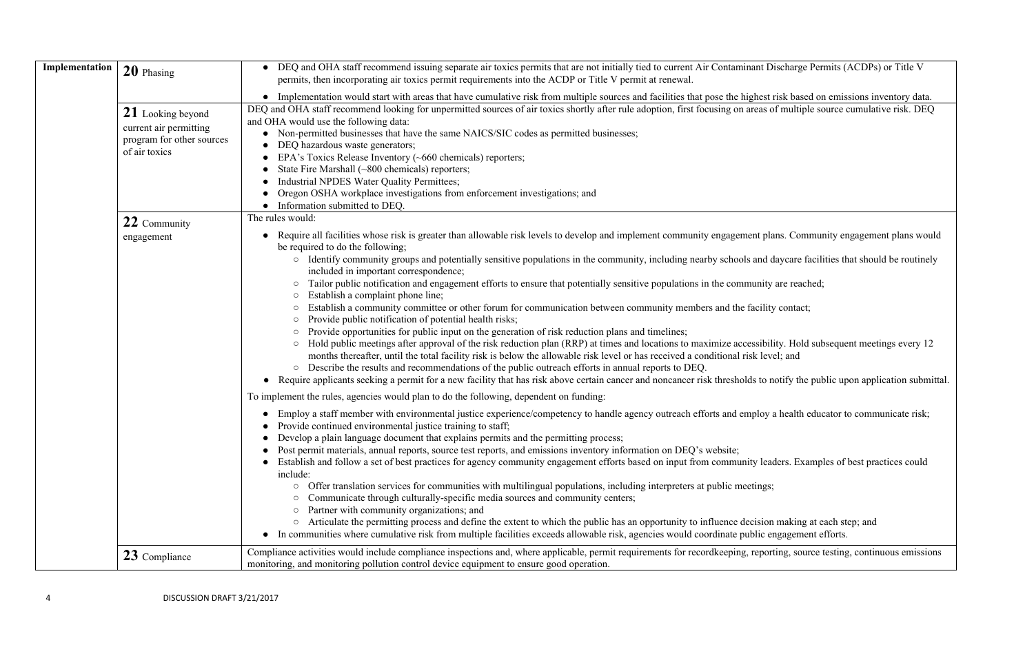| Implementation | 20 Phasing                                                                                | DEQ and OHA staff recommend issuing separate air toxics permits that are not initially tied to current Air Contaminant Discharge<br>$\bullet$<br>permits, then incorporating air toxics permit requirements into the ACDP or Title V permit at renewal.                                                                                                                                                                                                                                                                                                                                                                                                                                                                                                                                                                                                                                                                                                                                                                                                                                                                                                                                                                        |
|----------------|-------------------------------------------------------------------------------------------|--------------------------------------------------------------------------------------------------------------------------------------------------------------------------------------------------------------------------------------------------------------------------------------------------------------------------------------------------------------------------------------------------------------------------------------------------------------------------------------------------------------------------------------------------------------------------------------------------------------------------------------------------------------------------------------------------------------------------------------------------------------------------------------------------------------------------------------------------------------------------------------------------------------------------------------------------------------------------------------------------------------------------------------------------------------------------------------------------------------------------------------------------------------------------------------------------------------------------------|
|                |                                                                                           | Implementation would start with areas that have cumulative risk from multiple sources and facilities that pose the highest risk bar<br>$\bullet$                                                                                                                                                                                                                                                                                                                                                                                                                                                                                                                                                                                                                                                                                                                                                                                                                                                                                                                                                                                                                                                                               |
|                | 21 Looking beyond<br>current air permitting<br>program for other sources<br>of air toxics | DEQ and OHA staff recommend looking for unpermitted sources of air toxics shortly after rule adoption, first focusing on areas of multi<br>and OHA would use the following data:<br>Non-permitted businesses that have the same NAICS/SIC codes as permitted businesses;<br>$\bullet$<br>DEQ hazardous waste generators;<br>EPA's Toxics Release Inventory (~660 chemicals) reporters;<br>State Fire Marshall (~800 chemicals) reporters;<br>Industrial NPDES Water Quality Permittees;<br>Oregon OSHA workplace investigations from enforcement investigations; and<br>Information submitted to DEQ.                                                                                                                                                                                                                                                                                                                                                                                                                                                                                                                                                                                                                          |
|                | 22 Community                                                                              | The rules would:                                                                                                                                                                                                                                                                                                                                                                                                                                                                                                                                                                                                                                                                                                                                                                                                                                                                                                                                                                                                                                                                                                                                                                                                               |
|                | engagement                                                                                | Require all facilities whose risk is greater than allowable risk levels to develop and implement community engagement plans. Co<br>be required to do the following;                                                                                                                                                                                                                                                                                                                                                                                                                                                                                                                                                                                                                                                                                                                                                                                                                                                                                                                                                                                                                                                            |
|                |                                                                                           | o Identify community groups and potentially sensitive populations in the community, including nearby schools and daycare<br>included in important correspondence;<br>Tailor public notification and engagement efforts to ensure that potentially sensitive populations in the community are rea<br>Establish a complaint phone line;<br>Establish a community committee or other forum for communication between community members and the facility conta<br>Provide public notification of potential health risks;<br>Provide opportunities for public input on the generation of risk reduction plans and timelines;<br>Hold public meetings after approval of the risk reduction plan (RRP) at times and locations to maximize accessibility. Ho<br>months thereafter, until the total facility risk is below the allowable risk level or has received a conditional risk level; and<br>Describe the results and recommendations of the public outreach efforts in annual reports to DEQ.<br>Require applicants seeking a permit for a new facility that has risk above certain cancer and noncancer risk thresholds to notify the                                                                                         |
|                |                                                                                           | To implement the rules, agencies would plan to do the following, dependent on funding:<br>Employ a staff member with environmental justice experience/competency to handle agency outreach efforts and employ a health<br>Provide continued environmental justice training to staff;<br>Develop a plain language document that explains permits and the permitting process;<br>Post permit materials, annual reports, source test reports, and emissions inventory information on DEQ's website;<br>Establish and follow a set of best practices for agency community engagement efforts based on input from community leaders. E<br>include:<br>Offer translation services for communities with multilingual populations, including interpreters at public meetings;<br>$\circ$<br>Communicate through culturally-specific media sources and community centers;<br>$\circ$<br>Partner with community organizations; and<br>$\circ$<br>Articulate the permitting process and define the extent to which the public has an opportunity to influence decision makin<br>$\bigcirc$<br>In communities where cumulative risk from multiple facilities exceeds allowable risk, agencies would coordinate public engagen<br>$\bullet$ |
|                | 23 Compliance                                                                             | Compliance activities would include compliance inspections and, where applicable, permit requirements for recordkeeping, reporting, so<br>monitoring, and monitoring pollution control device equipment to ensure good operation.                                                                                                                                                                                                                                                                                                                                                                                                                                                                                                                                                                                                                                                                                                                                                                                                                                                                                                                                                                                              |

**20 Interpretational Deparate State Records** Find State and Discharge Permits (ACDPs) or Title V

have that have cumulations inventory data. eas of multiple source cumulative risk. DEQ

t plans. Community engagement plans would

and daycare facilities that should be routinely

mity are reached;

cility contact;

sibility. Hold subsequent meetings every 12<br>clevel; and

to notify the public upon application submittal.

loy a health educator to communicate risk;

I leaders. Examples of best practices could

ision making at each step; and lic engagement efforts.

eporting, source testing, continuous emissions